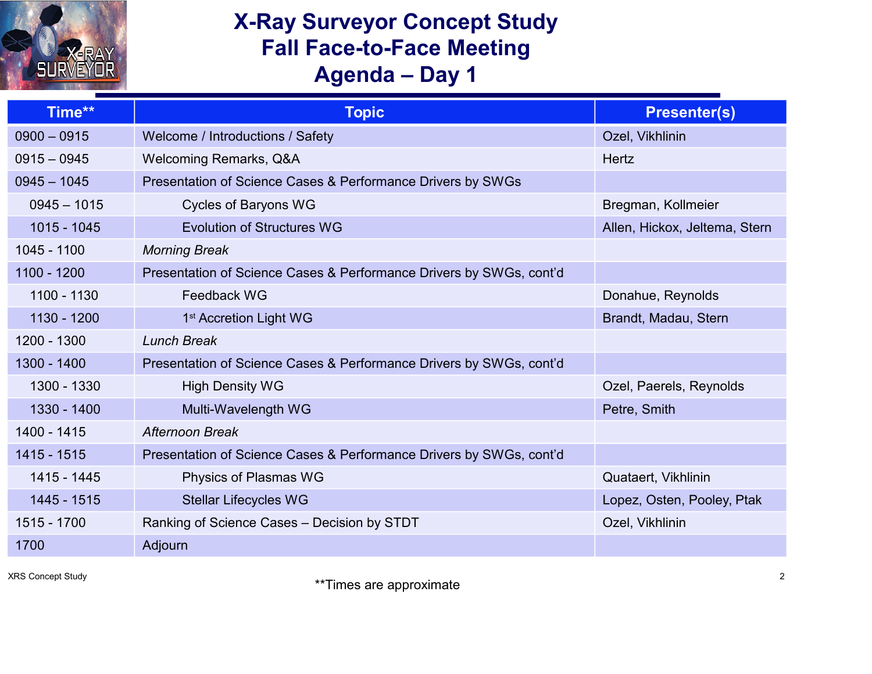## **X-Ray Surveyor Concept Study Fall Face-to-Face Meeting Agenda – Day 1**

| Time**        | <b>Topic</b>                                                        | <b>Presenter(s)</b>           |
|---------------|---------------------------------------------------------------------|-------------------------------|
| $0900 - 0915$ | Welcome / Introductions / Safety                                    | Ozel, Vikhlinin               |
| $0915 - 0945$ | <b>Welcoming Remarks, Q&amp;A</b>                                   | <b>Hertz</b>                  |
| $0945 - 1045$ | Presentation of Science Cases & Performance Drivers by SWGs         |                               |
| $0945 - 1015$ | <b>Cycles of Baryons WG</b>                                         | Bregman, Kollmeier            |
| $1015 - 1045$ | <b>Evolution of Structures WG</b>                                   | Allen, Hickox, Jeltema, Stern |
| 1045 - 1100   | <b>Morning Break</b>                                                |                               |
| 1100 - 1200   | Presentation of Science Cases & Performance Drivers by SWGs, cont'd |                               |
| 1100 - 1130   | Feedback WG                                                         | Donahue, Reynolds             |
| 1130 - 1200   | 1 <sup>st</sup> Accretion Light WG                                  | Brandt, Madau, Stern          |
| 1200 - 1300   | <b>Lunch Break</b>                                                  |                               |
| 1300 - 1400   | Presentation of Science Cases & Performance Drivers by SWGs, cont'd |                               |
| 1300 - 1330   | <b>High Density WG</b>                                              | Ozel, Paerels, Reynolds       |
| 1330 - 1400   | Multi-Wavelength WG                                                 | Petre, Smith                  |
| 1400 - 1415   | <b>Afternoon Break</b>                                              |                               |
| 1415 - 1515   | Presentation of Science Cases & Performance Drivers by SWGs, cont'd |                               |
| 1415 - 1445   | Physics of Plasmas WG                                               | Quataert, Vikhlinin           |
| 1445 - 1515   | <b>Stellar Lifecycles WG</b>                                        | Lopez, Osten, Pooley, Ptak    |
| 1515 - 1700   | Ranking of Science Cases - Decision by STDT                         | Ozel, Vikhlinin               |
| 1700          | Adjourn                                                             |                               |